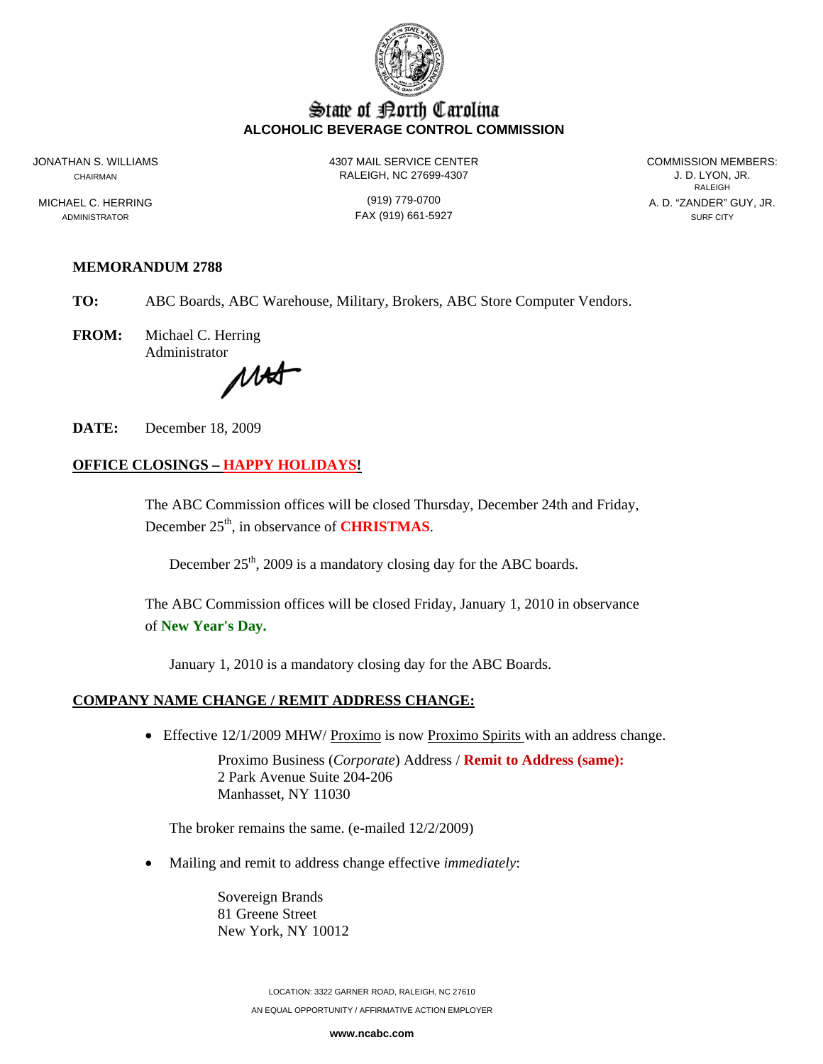

# State of Borth Carolina **ALCOHOLIC BEVERAGE CONTROL COMMISSION**

JONATHAN S. WILLIAMS 4307 MAIL SERVICE CENTER COMMISSION MEMBERS: CHAIRMAN RALEIGH, NC 27699-4307 J. D. LYON, JR.

**RALEIGH RALEIGH** MICHAEL C. HERRING (919) 779-0700 A. D. "ZANDER" GUY, JR.

ADMINISTRATOR SURF CITY CONTROL CONTROL CONTROL FAX (919) 661-5927 SURF CITY SURF CITY

# **MEMORANDUM 2788**

**TO:** ABC Boards, ABC Warehouse, Military, Brokers, ABC Store Computer Vendors.

**FROM:** Michael C. Herring Administrator

MAT

**DATE:** December 18, 2009

# **OFFICE CLOSINGS – HAPPY HOLIDAYS!**

The ABC Commission offices will be closed Thursday, December 24th and Friday, December 25<sup>th</sup>, in observance of **CHRISTMAS**.

December  $25<sup>th</sup>$ , 2009 is a mandatory closing day for the ABC boards.

The ABC Commission offices will be closed Friday, January 1, 2010 in observance of **New Year's Day.** 

January 1, 2010 is a mandatory closing day for the ABC Boards.

#### **COMPANY NAME CHANGE / REMIT ADDRESS CHANGE:**

• Effective 12/1/2009 MHW/ Proximo is now Proximo Spirits with an address change.

Proximo Business (*Corporate*) Address / **Remit to Address (same):** 2 Park Avenue Suite 204-206 Manhasset, NY 11030

The broker remains the same. (e-mailed 12/2/2009)

• Mailing and remit to address change effective *immediately*:

Sovereign Brands 81 Greene Street New York, NY 10012

> LOCATION: 3322 GARNER ROAD, RALEIGH, NC 27610 AN EQUAL OPPORTUNITY / AFFIRMATIVE ACTION EMPLOYER